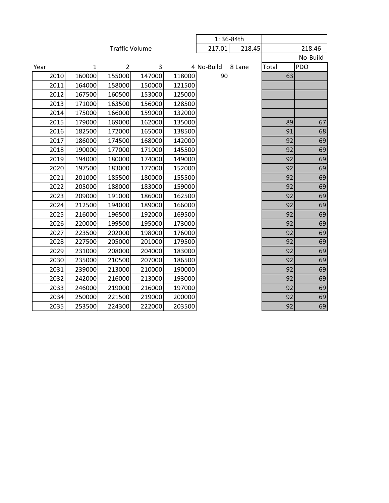|      |        |                       |        |        | 1:36-84th  |        |        |            |
|------|--------|-----------------------|--------|--------|------------|--------|--------|------------|
|      |        | <b>Traffic Volume</b> |        | 217.01 | 218.45     |        | 218.46 |            |
|      |        |                       |        |        |            |        |        | No-Build   |
| Year | 1      | $\overline{2}$        | 3      |        | 4 No-Build | 8 Lane | Total  | <b>PDO</b> |
| 2010 | 160000 | 155000                | 147000 | 118000 | 90         |        | 63     |            |
| 2011 | 164000 | 158000                | 150000 | 121500 |            |        |        |            |
| 2012 | 167500 | 160500                | 153000 | 125000 |            |        |        |            |
| 2013 | 171000 | 163500                | 156000 | 128500 |            |        |        |            |
| 2014 | 175000 | 166000                | 159000 | 132000 |            |        |        |            |
| 2015 | 179000 | 169000                | 162000 | 135000 |            |        | 89     | 67         |
| 2016 | 182500 | 172000                | 165000 | 138500 |            |        | 91     | 68         |
| 2017 | 186000 | 174500                | 168000 | 142000 |            |        | 92     | 69         |
| 2018 | 190000 | 177000                | 171000 | 145500 |            |        | 92     | 69         |
| 2019 | 194000 | 180000                | 174000 | 149000 |            |        | 92     | 69         |
| 2020 | 197500 | 183000                | 177000 | 152000 |            |        | 92     | 69         |
| 2021 | 201000 | 185500                | 180000 | 155500 |            |        | 92     | 69         |
| 2022 | 205000 | 188000                | 183000 | 159000 |            |        | 92     | 69         |
| 2023 | 209000 | 191000                | 186000 | 162500 |            |        | 92     | 69         |
| 2024 | 212500 | 194000                | 189000 | 166000 |            |        | 92     | 69         |
| 2025 | 216000 | 196500                | 192000 | 169500 |            |        | 92     | 69         |
| 2026 | 220000 | 199500                | 195000 | 173000 |            |        | 92     | 69         |
| 2027 | 223500 | 202000                | 198000 | 176000 |            |        | 92     | 69         |
| 2028 | 227500 | 205000                | 201000 | 179500 |            |        | 92     | 69         |
| 2029 | 231000 | 208000                | 204000 | 183000 |            |        | 92     | 69         |
| 2030 | 235000 | 210500                | 207000 | 186500 |            |        | 92     | 69         |
| 2031 | 239000 | 213000                | 210000 | 190000 |            |        | 92     | 69         |
| 2032 | 242000 | 216000                | 213000 | 193000 |            |        | 92     | 69         |
| 2033 | 246000 | 219000                | 216000 | 197000 |            |        | 92     | 69         |
| 2034 | 250000 | 221500                | 219000 | 200000 |            |        | 92     | 69         |
| 2035 | 253500 | 224300                | 222000 | 203500 |            |        | 92     | 69         |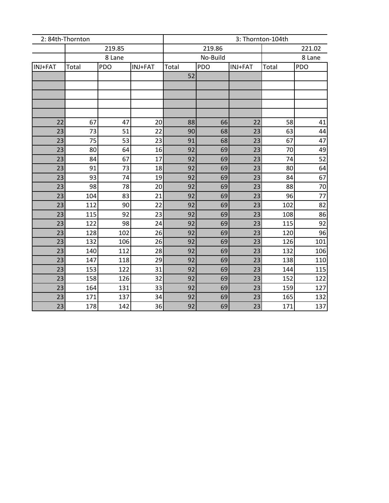|          | 2: 84th-Thornton |            |          | 3: Thornton-104th |          |          |            |            |
|----------|------------------|------------|----------|-------------------|----------|----------|------------|------------|
|          |                  | 219.85     |          |                   | 219.86   | 221.02   |            |            |
|          | 8 Lane           |            |          |                   | No-Build | 8 Lane   |            |            |
| INJ+FAT  | Total            | <b>PDO</b> | INJ+FAT  | Total             | PDO      | INJ+FAT  | Total      | <b>PDO</b> |
|          |                  |            |          | 52                |          |          |            |            |
|          |                  |            |          |                   |          |          |            |            |
|          |                  |            |          |                   |          |          |            |            |
|          |                  |            |          |                   |          |          |            |            |
|          |                  |            |          |                   |          |          |            |            |
| 22       | 67               | 47         | 20       | 88                | 66       | 22       | 58         | 41         |
| 23       | 73               | 51         | 22       | 90                | 68       | 23       | 63         | 44         |
| 23       | 75               | 53         | 23       | 91                | 68       | 23       | 67         | 47         |
| 23       | 80               | 64         | 16       | 92                | 69       | 23       | 70         | 49         |
| 23       | 84               | 67         | 17       | 92                | 69       | 23       | 74         | 52         |
| 23       | 91               | 73         | 18       | 92                | 69       | 23       | 80         | 64         |
| 23       | 93               | 74         | 19       | 92                | 69       | 23       | 84         | 67         |
| 23       | 98               | 78         | 20       | 92                | 69       | 23       | 88         | 70         |
| 23       | 104              | 83         | 21       | 92                | 69       | 23       | 96         | 77         |
| 23       | 112              | 90         | 22       | 92                | 69       | 23       | 102        | 82         |
| 23       | 115              | 92         | 23       | 92                | 69       | 23       | 108        | 86         |
| 23       | 122              | 98         | 24       | 92                | 69       | 23       | 115        | 92         |
| 23       | 128              | 102        | 26       | 92                | 69       | 23       | 120        | 96         |
| 23       | 132              | 106        | 26       | 92                | 69       | 23       | 126        | 101        |
| 23       | 140              | 112        | 28       | 92                | 69       | 23       | 132        | 106        |
| 23       | 147              | 118        | 29       | 92                | 69       | 23       | 138        | 110        |
| 23<br>23 | 153<br>158       | 122<br>126 | 31<br>32 | 92<br>92          | 69<br>69 | 23<br>23 | 144<br>152 | 115<br>122 |
| 23       | 164              | 131        | 33       | 92                | 69       | 23       | 159        | 127        |
| 23       | 171              | 137        | 34       | 92                | 69       | 23       | 165        | 132        |
| 23       | 178              | 142        | 36       | 92                | 69       | 23       | 171        | 137        |
|          |                  |            |          |                   |          |          |            |            |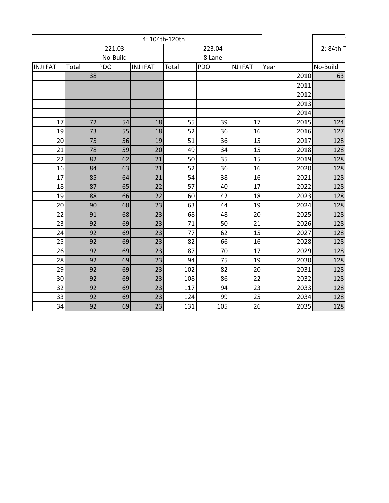|         | 4: 104th-120th     |            |                 |        |     |         |      |           |
|---------|--------------------|------------|-----------------|--------|-----|---------|------|-----------|
|         |                    | 221.03     |                 | 223.04 |     |         |      | 2: 84th-T |
|         | No-Build<br>8 Lane |            |                 |        |     |         |      |           |
| INJ+FAT | Total              | <b>PDO</b> | INJ+FAT         | Total  | PDO | INJ+FAT | Year | No-Build  |
|         | 38                 |            |                 |        |     |         | 2010 | 63        |
|         |                    |            |                 |        |     |         | 2011 |           |
|         |                    |            |                 |        |     |         | 2012 |           |
|         |                    |            |                 |        |     |         | 2013 |           |
|         |                    |            |                 |        |     |         | 2014 |           |
| 17      | 72                 | 54         | 18              | 55     | 39  | 17      | 2015 | 124       |
| 19      | 73                 | 55         | 18              | 52     | 36  | 16      | 2016 | 127       |
| 20      | 75                 | 56         | 19              | 51     | 36  | 15      | 2017 | 128       |
| 21      | 78                 | 59         | 20              | 49     | 34  | 15      | 2018 | 128       |
| 22      | 82                 | 62         | 21              | 50     | 35  | 15      | 2019 | 128       |
| 16      | 84                 | 63         | 21              | 52     | 36  | 16      | 2020 | 128       |
| 17      | 85                 | 64         | 21              | 54     | 38  | 16      | 2021 | 128       |
| 18      | 87                 | 65         | 22              | 57     | 40  | 17      | 2022 | 128       |
| 19      | 88                 | 66         | 22              | 60     | 42  | 18      | 2023 | 128       |
| 20      | 90                 | 68         | 23              | 63     | 44  | 19      | 2024 | 128       |
| 22      | 91                 | 68         | 23              | 68     | 48  | 20      | 2025 | 128       |
| 23      | 92                 | 69         | 23              | 71     | 50  | 21      | 2026 | 128       |
| 24      | 92                 | 69         | 23              | 77     | 62  | 15      | 2027 | 128       |
| 25      | 92                 | 69         | $\overline{23}$ | 82     | 66  | 16      | 2028 | 128       |
| 26      | 92                 | 69         | 23              | 87     | 70  | 17      | 2029 | 128       |
| 28      | 92                 | 69         | 23              | 94     | 75  | 19      | 2030 | 128       |
| 29      | 92                 | 69         | 23              | 102    | 82  | 20      | 2031 | 128       |
| 30      | 92                 | 69         | 23              | 108    | 86  | 22      | 2032 | 128       |
| 32      | 92                 | 69         | 23              | 117    | 94  | 23      | 2033 | 128       |
| 33      | 92                 | 69         | 23              | 124    | 99  | 25      | 2034 | 128       |
| 34      | 92                 | 69         | 23              | 131    | 105 | 26      | 2035 | 128       |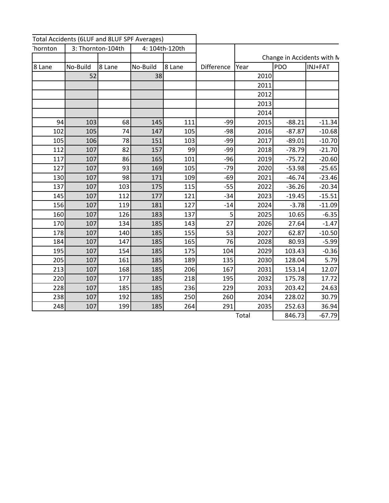| Thornton |          | 3: Thornton-104th | 4: 104th-120th |        |                   |       |            |                            |
|----------|----------|-------------------|----------------|--------|-------------------|-------|------------|----------------------------|
|          |          |                   |                |        |                   |       |            | Change in Accidents with M |
| 8 Lane   | No-Build | 8 Lane            | No-Build       | 8 Lane | <b>Difference</b> | Year  | <b>PDO</b> | INJ+FAT                    |
|          | 52       |                   | 38             |        |                   | 2010  |            |                            |
|          |          |                   |                |        |                   | 2011  |            |                            |
|          |          |                   |                |        |                   | 2012  |            |                            |
|          |          |                   |                |        |                   | 2013  |            |                            |
|          |          |                   |                |        |                   | 2014  |            |                            |
| 94       | 103      | 68                | 145            | 111    | $-99$             | 2015  | $-88.21$   | $-11.34$                   |
| 102      | 105      | 74                | 147            | 105    | $-98$             | 2016  | $-87.87$   | $-10.68$                   |
| 105      | 106      | 78                | 151            | 103    | $-99$             | 2017  | $-89.01$   | $-10.70$                   |
| 112      | 107      | 82                | 157            | 99     | $-99$             | 2018  | $-78.79$   | $-21.70$                   |
| 117      | 107      | 86                | 165            | 101    | $-96$             | 2019  | $-75.72$   | $-20.60$                   |
| 127      | 107      | 93                | 169            | 105    | $-79$             | 2020  | $-53.98$   | $-25.65$                   |
| 130      | 107      | 98                | 171            | 109    | $-69$             | 2021  | $-46.74$   | $-23.46$                   |
| 137      | 107      | 103               | 175            | 115    | $-55$             | 2022  | $-36.26$   | $-20.34$                   |
| 145      | 107      | 112               | 177            | 121    | $-34$             | 2023  | $-19.45$   | $-15.51$                   |
| 156      | 107      | 119               | 181            | 127    | $-14$             | 2024  | $-3.78$    | $-11.09$                   |
| 160      | 107      | 126               | 183            | 137    | 5 <sup>1</sup>    | 2025  | 10.65      | $-6.35$                    |
| 170      | 107      | 134               | 185            | 143    | 27                | 2026  | 27.64      | $-1.47$                    |
| 178      | 107      | 140               | 185            | 155    | 53                | 2027  | 62.87      | $-10.50$                   |
| 184      | 107      | 147               | 185            | 165    | 76                | 2028  | 80.93      | $-5.99$                    |
| 195      | 107      | 154               | 185            | 175    | 104               | 2029  | 103.43     | $-0.36$                    |
| 205      | 107      | 161               | 185            | 189    | 135               | 2030  | 128.04     | 5.79                       |
| 213      | 107      | 168               | 185            | 206    | 167               | 2031  | 153.14     | 12.07                      |
| 220      | 107      | 177               | 185            | 218    | 195               | 2032  | 175.78     | 17.72                      |
| 228      | 107      | 185               | 185            | 236    | 229               | 2033  | 203.42     | 24.63                      |
| 238      | 107      | 192               | 185            | 250    | 260               | 2034  | 228.02     | 30.79                      |
| 248      | 107      | 199               | 185            | 264    | 291               | 2035  | 252.63     | 36.94                      |
|          |          |                   |                |        |                   | Total | 846.73     | $-67.79$                   |